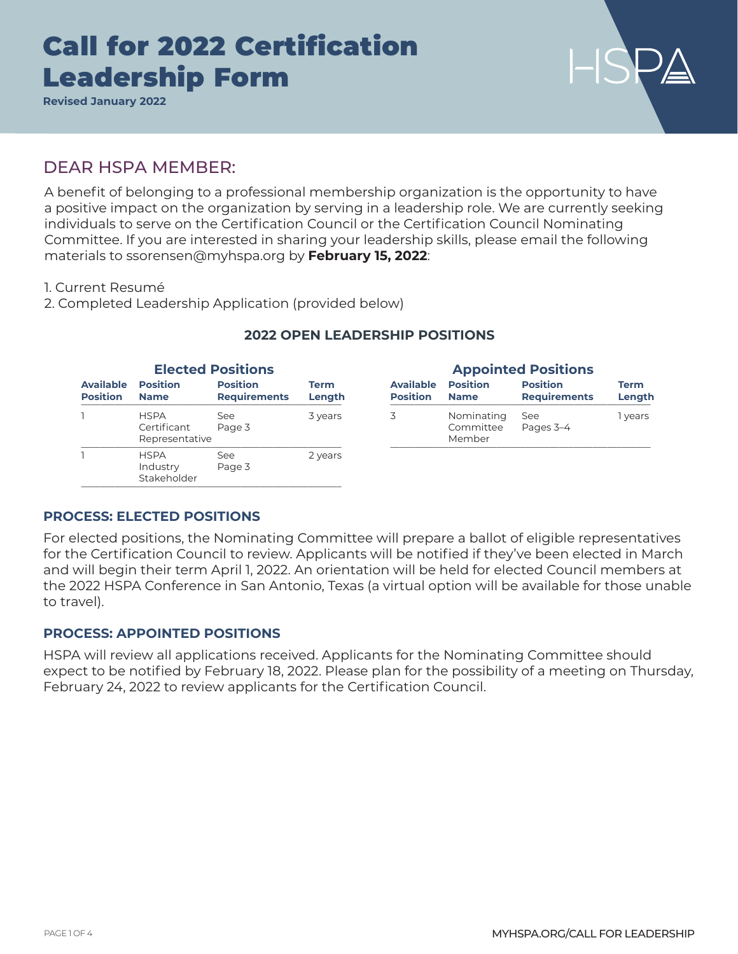**Revised January 2022**

### DEAR HSPA MEMBER:

A benefit of belonging to a professional membership organization is the opportunity to have a positive impact on the organization by serving in a leadership role. We are currently seeking individuals to serve on the Certification Council or the Certification Council Nominating Committee. If you are interested in sharing your leadership skills, please email the following materials to ssorensen@myhspa.org by **February 15, 2022**:

1. Current Resumé

2. Completed Leadership Application (provided below)

| <b>Elected Positions</b>            |                                              |                                        |                       | <b>Appointed Positions</b>          |                                   |                                        |                       |
|-------------------------------------|----------------------------------------------|----------------------------------------|-----------------------|-------------------------------------|-----------------------------------|----------------------------------------|-----------------------|
| <b>Available</b><br><b>Position</b> | <b>Position</b><br><b>Name</b>               | <b>Position</b><br><b>Requirements</b> | <b>Term</b><br>Length | <b>Available</b><br><b>Position</b> | <b>Position</b><br><b>Name</b>    | <b>Position</b><br><b>Requirements</b> | <b>Term</b><br>Length |
|                                     | <b>HSPA</b><br>Certificant<br>Representative | See<br>Page 3                          | 3 years               | 3                                   | Nominating<br>Committee<br>Member | See<br>Pages 3-4                       | vears                 |
|                                     | <b>HSPA</b><br>Industry<br>Stakeholder       | See<br>Page 3                          | 2 years               |                                     |                                   |                                        |                       |

### **2022 OPEN LEADERSHIP POSITIONS**

### **PROCESS: ELECTED POSITIONS**

For elected positions, the Nominating Committee will prepare a ballot of eligible representatives for the Certification Council to review. Applicants will be notified if they've been elected in March and will begin their term April 1, 2022. An orientation will be held for elected Council members at the 2022 HSPA Conference in San Antonio, Texas (a virtual option will be available for those unable to travel).

### **PROCESS: APPOINTED POSITIONS**

HSPA will review all applications received. Applicants for the Nominating Committee should expect to be notified by February 18, 2022. Please plan for the possibility of a meeting on Thursday, February 24, 2022 to review applicants for the Certification Council.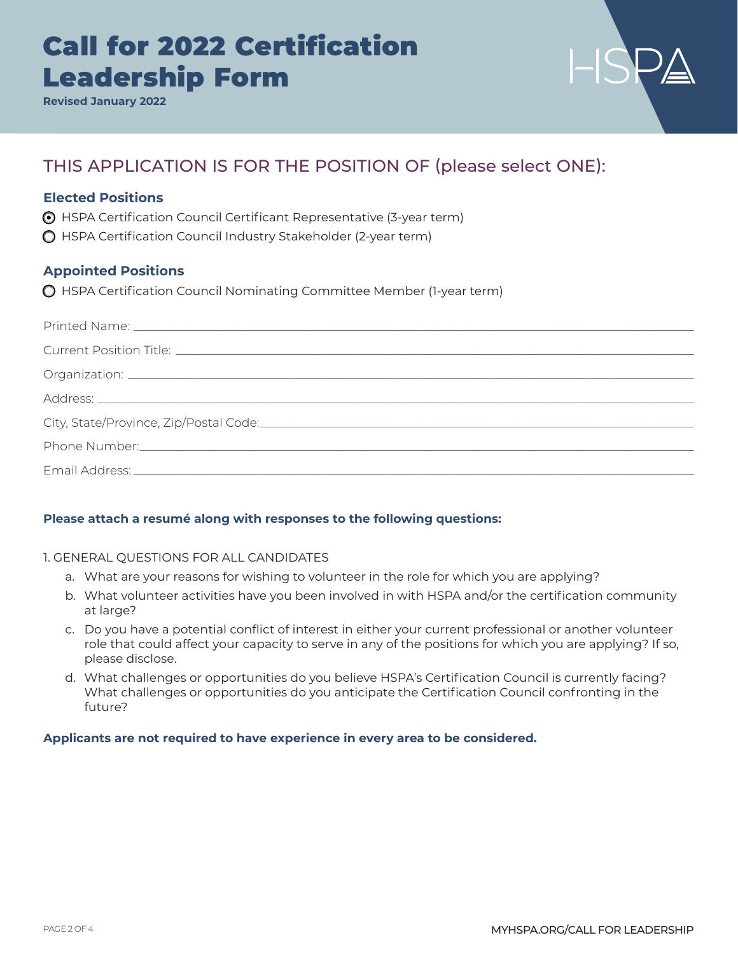**Revised January 2022**



## THIS APPLICATION IS FOR THE POSITION OF (please select ONE):

### **Elected Positions**

o HSPA Certification Council Certificant Representative (3-year term)

 $\bigcirc$  HSPA Certification Council Industry Stakeholder (2-year term)

### **Appointed Positions**

o HSPA Certification Council Nominating Committee Member (1-year term)

### **Please attach a resumé along with responses to the following questions:**

### 1. GENERAL QUESTIONS FOR ALL CANDIDATES

- a. What are your reasons for wishing to volunteer in the role for which you are applying?
- b. What volunteer activities have you been involved in with HSPA and/or the certification community at large?
- c. Do you have a potential conflict of interest in either your current professional or another volunteer role that could affect your capacity to serve in any of the positions for which you are applying? If so, please disclose.
- d. What challenges or opportunities do you believe HSPA's Certification Council is currently facing? What challenges or opportunities do you anticipate the Certification Council confronting in the future?

### **Applicants are not required to have experience in every area to be considered.**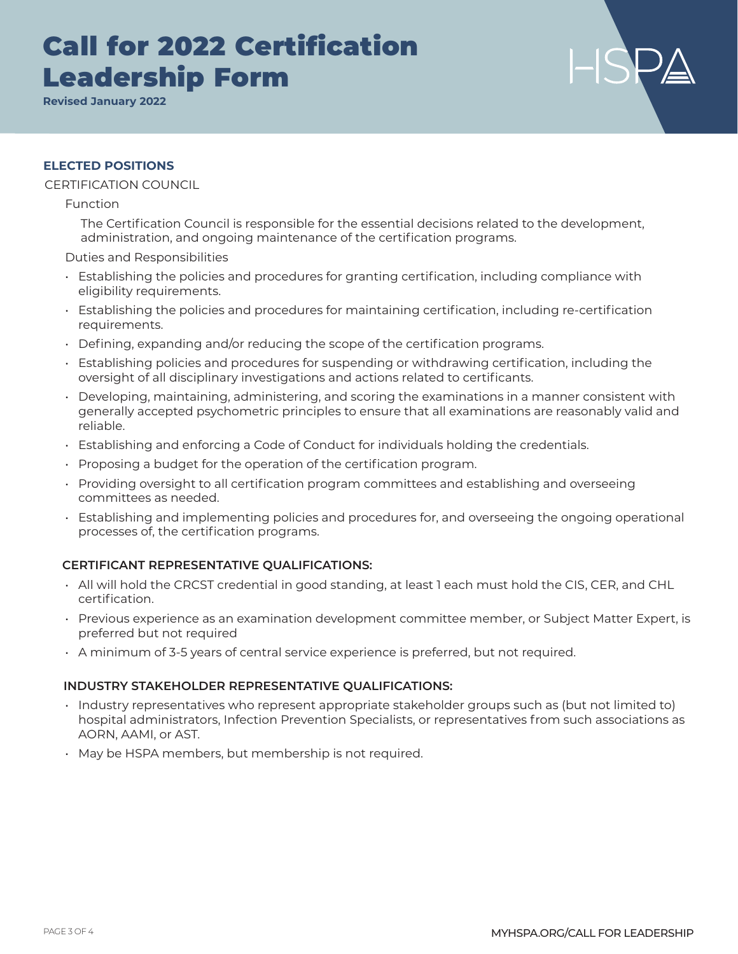**Revised January 2022**

### **ELECTED POSITIONS**

### CERTIFICATION COUNCIL

Function

The Certification Council is responsible for the essential decisions related to the development, administration, and ongoing maintenance of the certification programs.

Duties and Responsibilities

- Establishing the policies and procedures for granting certification, including compliance with eligibility requirements.
- Establishing the policies and procedures for maintaining certification, including re-certification requirements.
- Defining, expanding and/or reducing the scope of the certification programs.
- Establishing policies and procedures for suspending or withdrawing certification, including the oversight of all disciplinary investigations and actions related to certificants.
- Developing, maintaining, administering, and scoring the examinations in a manner consistent with generally accepted psychometric principles to ensure that all examinations are reasonably valid and reliable.
- Establishing and enforcing a Code of Conduct for individuals holding the credentials.
- Proposing a budget for the operation of the certification program.
- Providing oversight to all certification program committees and establishing and overseeing committees as needed.
- Establishing and implementing policies and procedures for, and overseeing the ongoing operational processes of, the certification programs.

### **CERTIFICANT REPRESENTATIVE QUALIFICATIONS:**

- All will hold the CRCST credential in good standing, at least 1 each must hold the CIS, CER, and CHL certification.
- Previous experience as an examination development committee member, or Subject Matter Expert, is preferred but not required
- A minimum of 3-5 years of central service experience is preferred, but not required.

### **INDUSTRY STAKEHOLDER REPRESENTATIVE QUALIFICATIONS:**

- Industry representatives who represent appropriate stakeholder groups such as (but not limited to) hospital administrators, Infection Prevention Specialists, or representatives from such associations as AORN, AAMI, or AST.
- May be HSPA members, but membership is not required.